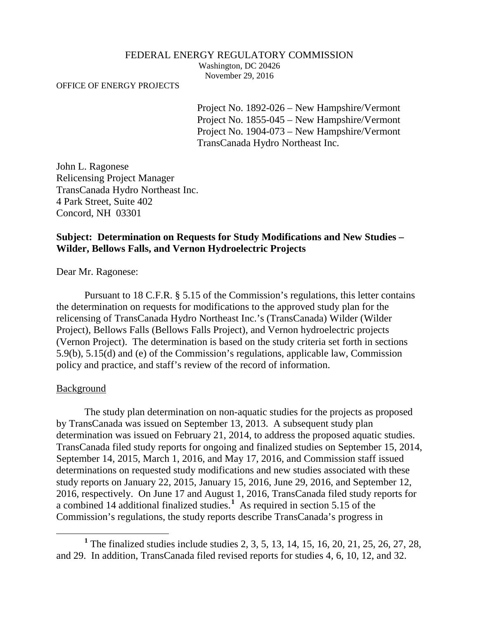#### FEDERAL ENERGY REGULATORY COMMISSION

Washington, DC 20426 November 29, 2016

OFFICE OF ENERGY PROJECTS

Project No. 1892-026 – New Hampshire/Vermont Project No. 1855-045 – New Hampshire/Vermont Project No. 1904-073 – New Hampshire/Vermont TransCanada Hydro Northeast Inc.

John L. Ragonese Relicensing Project Manager TransCanada Hydro Northeast Inc. 4 Park Street, Suite 402 Concord, NH 03301

### **Subject: Determination on Requests for Study Modifications and New Studies – Wilder, Bellows Falls, and Vernon Hydroelectric Projects**

Dear Mr. Ragonese:

Pursuant to 18 C.F.R. § 5.15 of the Commission's regulations, this letter contains the determination on requests for modifications to the approved study plan for the relicensing of TransCanada Hydro Northeast Inc.'s (TransCanada) Wilder (Wilder Project), Bellows Falls (Bellows Falls Project), and Vernon hydroelectric projects (Vernon Project). The determination is based on the study criteria set forth in sections 5.9(b), 5.15(d) and (e) of the Commission's regulations, applicable law, Commission policy and practice, and staff's review of the record of information.

#### Background

 $\overline{a}$ 

The study plan determination on non-aquatic studies for the projects as proposed by TransCanada was issued on September 13, 2013. A subsequent study plan determination was issued on February 21, 2014, to address the proposed aquatic studies. TransCanada filed study reports for ongoing and finalized studies on September 15, 2014, September 14, 2015, March 1, 2016, and May 17, 2016, and Commission staff issued determinations on requested study modifications and new studies associated with these study reports on January 22, 2015, January 15, 2016, June 29, 2016, and September 12, 2016, respectively. On June 17 and August 1, 2016, TransCanada filed study reports for a combined 14 additional finalized studies. **[1](#page-0-0)** As required in section 5.15 of the Commission's regulations, the study reports describe TransCanada's progress in

<span id="page-0-0"></span>**<sup>1</sup>** The finalized studies include studies 2, 3, 5, 13, 14, 15, 16, 20, 21, 25, 26, 27, 28, and 29. In addition, TransCanada filed revised reports for studies 4, 6, 10, 12, and 32.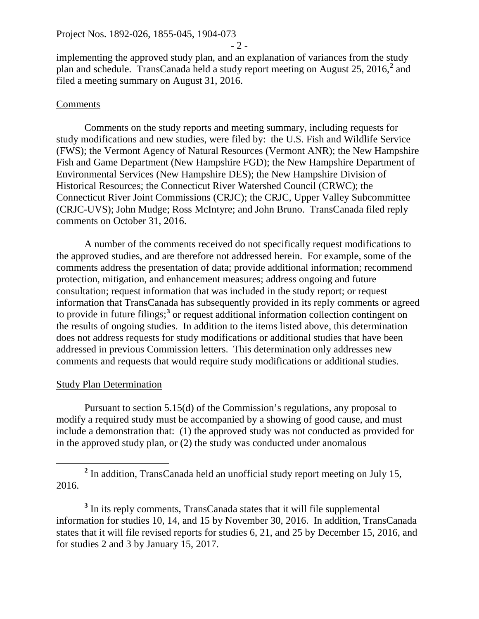$-2 -$ 

implementing the approved study plan, and an explanation of variances from the study plan and schedule. TransCanada held a study report meeting on August 25, 2016, **[2](#page-1-0)** and filed a meeting summary on August 31, 2016.

## **Comments**

Comments on the study reports and meeting summary, including requests for study modifications and new studies, were filed by: the U.S. Fish and Wildlife Service (FWS); the Vermont Agency of Natural Resources (Vermont ANR); the New Hampshire Fish and Game Department (New Hampshire FGD); the New Hampshire Department of Environmental Services (New Hampshire DES); the New Hampshire Division of Historical Resources; the Connecticut River Watershed Council (CRWC); the Connecticut River Joint Commissions (CRJC); the CRJC, Upper Valley Subcommittee (CRJC-UVS); John Mudge; Ross McIntyre; and John Bruno. TransCanada filed reply comments on October 31, 2016.

A number of the comments received do not specifically request modifications to the approved studies, and are therefore not addressed herein. For example, some of the comments address the presentation of data; provide additional information; recommend protection, mitigation, and enhancement measures; address ongoing and future consultation; request information that was included in the study report; or request information that TransCanada has subsequently provided in its reply comments or agreed to provide in future filings; **[3](#page-1-1)** or request additional information collection contingent on the results of ongoing studies. In addition to the items listed above, this determination does not address requests for study modifications or additional studies that have been addressed in previous Commission letters. This determination only addresses new comments and requests that would require study modifications or additional studies.

## Study Plan Determination

Pursuant to section 5.15(d) of the Commission's regulations, any proposal to modify a required study must be accompanied by a showing of good cause, and must include a demonstration that: (1) the approved study was not conducted as provided for in the approved study plan, or (2) the study was conducted under anomalous

<span id="page-1-0"></span>**<sup>2</sup>** In addition, TransCanada held an unofficial study report meeting on July 15, 2016.  $\overline{a}$ 

<span id="page-1-1"></span>**<sup>3</sup>** In its reply comments, TransCanada states that it will file supplemental information for studies 10, 14, and 15 by November 30, 2016. In addition, TransCanada states that it will file revised reports for studies 6, 21, and 25 by December 15, 2016, and for studies 2 and 3 by January 15, 2017.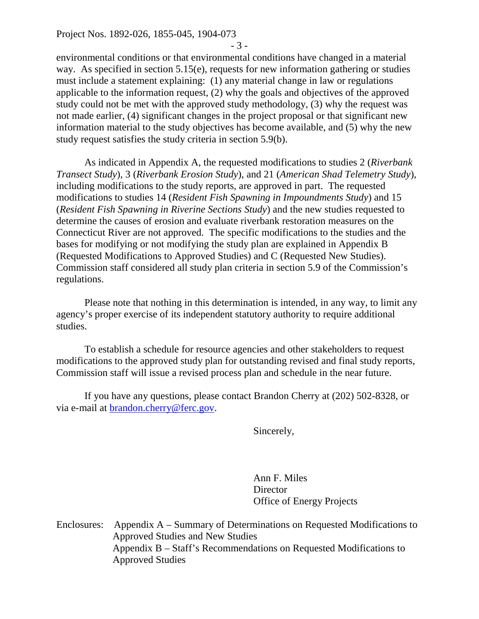Project Nos. 1892-026, 1855-045, 1904-073

- 3 -

environmental conditions or that environmental conditions have changed in a material way. As specified in section 5.15(e), requests for new information gathering or studies must include a statement explaining: (1) any material change in law or regulations applicable to the information request, (2) why the goals and objectives of the approved study could not be met with the approved study methodology, (3) why the request was not made earlier, (4) significant changes in the project proposal or that significant new information material to the study objectives has become available, and (5) why the new study request satisfies the study criteria in section 5.9(b).

As indicated in Appendix A, the requested modifications to studies 2 (*Riverbank Transect Study*), 3 (*Riverbank Erosion Study*), and 21 (*American Shad Telemetry Study*), including modifications to the study reports, are approved in part. The requested modifications to studies 14 (*Resident Fish Spawning in Impoundments Study*) and 15 (*Resident Fish Spawning in Riverine Sections Study*) and the new studies requested to determine the causes of erosion and evaluate riverbank restoration measures on the Connecticut River are not approved. The specific modifications to the studies and the bases for modifying or not modifying the study plan are explained in Appendix B (Requested Modifications to Approved Studies) and C (Requested New Studies). Commission staff considered all study plan criteria in section 5.9 of the Commission's regulations.

Please note that nothing in this determination is intended, in any way, to limit any agency's proper exercise of its independent statutory authority to require additional studies.

To establish a schedule for resource agencies and other stakeholders to request modifications to the approved study plan for outstanding revised and final study reports, Commission staff will issue a revised process plan and schedule in the near future.

If you have any questions, please contact Brandon Cherry at (202) 502-8328, or via e-mail at [brandon.cherry@ferc.gov.](mailto:brandon.cherry@ferc.gov)

Sincerely,

Ann F. Miles **Director** Office of Energy Projects

Enclosures: Appendix A – Summary of Determinations on Requested Modifications to Approved Studies and New Studies Appendix B – Staff's Recommendations on Requested Modifications to Approved Studies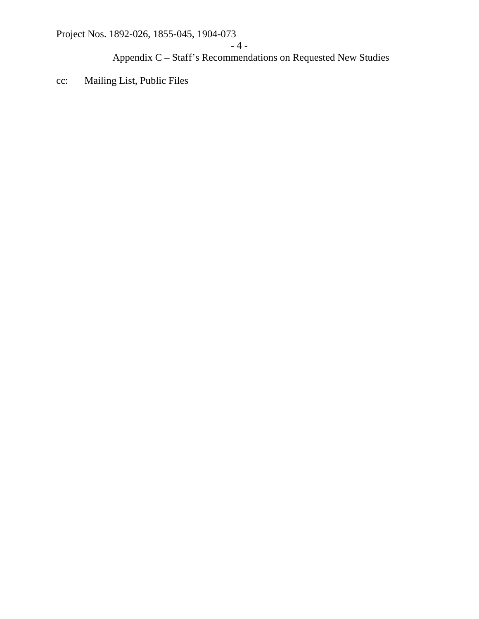Project Nos. 1892-026, 1855-045, 1904-073

Appendix C – Staff's Recommendations on Requested New Studies

cc: Mailing List, Public Files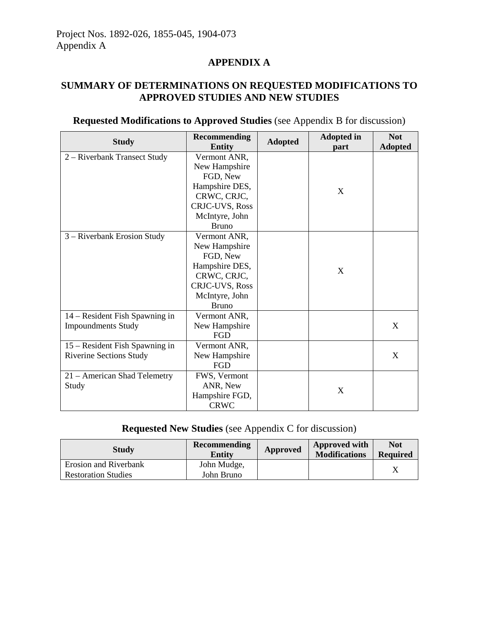## **APPENDIX A**

## **SUMMARY OF DETERMINATIONS ON REQUESTED MODIFICATIONS TO APPROVED STUDIES AND NEW STUDIES**

| <b>Requested Modifications to Approved Studies</b> (see Appendix B for discussion) |  |
|------------------------------------------------------------------------------------|--|
|------------------------------------------------------------------------------------|--|

| <b>Study</b>                   | <b>Recommending</b><br><b>Entity</b> | <b>Adopted</b> | <b>Adopted in</b><br>part | <b>Not</b><br><b>Adopted</b> |
|--------------------------------|--------------------------------------|----------------|---------------------------|------------------------------|
| 2 – Riverbank Transect Study   | Vermont ANR,                         |                |                           |                              |
|                                | New Hampshire                        |                |                           |                              |
|                                | FGD, New                             |                | X                         |                              |
|                                | Hampshire DES,                       |                |                           |                              |
|                                | CRWC, CRJC,                          |                |                           |                              |
|                                | CRJC-UVS, Ross                       |                |                           |                              |
|                                | McIntyre, John                       |                |                           |                              |
|                                | <b>Bruno</b>                         |                |                           |                              |
| 3 – Riverbank Erosion Study    | Vermont ANR,                         |                |                           |                              |
|                                | New Hampshire                        |                |                           |                              |
|                                | FGD, New                             |                |                           |                              |
|                                | Hampshire DES,                       |                | X                         |                              |
|                                | CRWC, CRJC,                          |                |                           |                              |
|                                | <b>CRJC-UVS, Ross</b>                |                |                           |                              |
|                                | McIntyre, John                       |                |                           |                              |
|                                | <b>Bruno</b>                         |                |                           |                              |
| 14 – Resident Fish Spawning in | Vermont ANR,                         |                |                           |                              |
| <b>Impoundments Study</b>      | New Hampshire                        |                |                           | X                            |
|                                | FGD                                  |                |                           |                              |
| 15 – Resident Fish Spawning in | Vermont ANR,                         |                |                           |                              |
| <b>Riverine Sections Study</b> | New Hampshire                        |                |                           | X                            |
|                                | FGD                                  |                |                           |                              |
| 21 – American Shad Telemetry   | FWS, Vermont                         |                | X                         |                              |
| Study                          | ANR, New                             |                |                           |                              |
|                                | Hampshire FGD,                       |                |                           |                              |
|                                | <b>CRWC</b>                          |                |                           |                              |

# **Requested New Studies** (see Appendix C for discussion)

| <b>Study</b>               | Recommending<br>Entity | Approved | Approved with<br><b>Modifications</b> | <b>Not</b><br><b>Required</b> |
|----------------------------|------------------------|----------|---------------------------------------|-------------------------------|
| Erosion and Riverbank      | John Mudge,            |          |                                       |                               |
| <b>Restoration Studies</b> | John Bruno             |          |                                       |                               |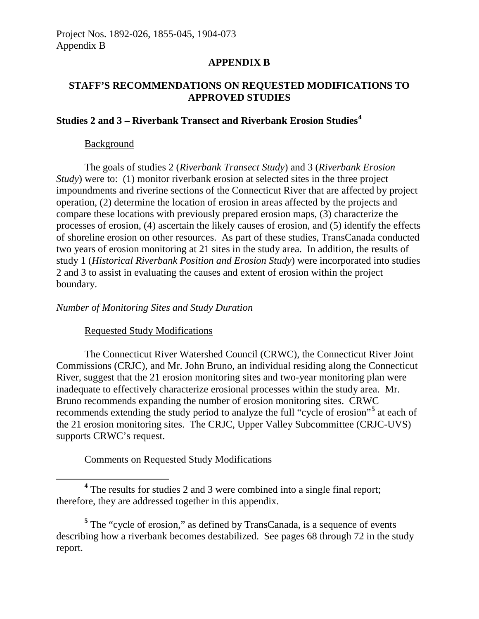#### **APPENDIX B**

## **STAFF'S RECOMMENDATIONS ON REQUESTED MODIFICATIONS TO APPROVED STUDIES**

# **Studies 2 and 3 – Riverbank Transect and Riverbank Erosion Studies[4](#page-5-0)**

#### Background

 $\overline{a}$ 

The goals of studies 2 (*Riverbank Transect Study*) and 3 (*Riverbank Erosion Study*) were to: (1) monitor riverbank erosion at selected sites in the three project impoundments and riverine sections of the Connecticut River that are affected by project operation, (2) determine the location of erosion in areas affected by the projects and compare these locations with previously prepared erosion maps, (3) characterize the processes of erosion, (4) ascertain the likely causes of erosion, and (5) identify the effects of shoreline erosion on other resources. As part of these studies, TransCanada conducted two years of erosion monitoring at 21 sites in the study area. In addition, the results of study 1 (*Historical Riverbank Position and Erosion Study*) were incorporated into studies 2 and 3 to assist in evaluating the causes and extent of erosion within the project boundary.

#### *Number of Monitoring Sites and Study Duration*

#### Requested Study Modifications

The Connecticut River Watershed Council (CRWC), the Connecticut River Joint Commissions (CRJC), and Mr. John Bruno, an individual residing along the Connecticut River, suggest that the 21 erosion monitoring sites and two-year monitoring plan were inadequate to effectively characterize erosional processes within the study area. Mr. Bruno recommends expanding the number of erosion monitoring sites. CRWC recommends extending the study period to analyze the full "cycle of erosion"**[5](#page-5-1)** at each of the 21 erosion monitoring sites. The CRJC, Upper Valley Subcommittee (CRJC-UVS) supports CRWC's request.

#### Comments on Requested Study Modifications

<span id="page-5-0"></span>**<sup>4</sup>** The results for studies 2 and 3 were combined into a single final report; therefore, they are addressed together in this appendix.

<span id="page-5-1"></span>**<sup>5</sup>** The "cycle of erosion," as defined by TransCanada, is a sequence of events describing how a riverbank becomes destabilized. See pages 68 through 72 in the study report.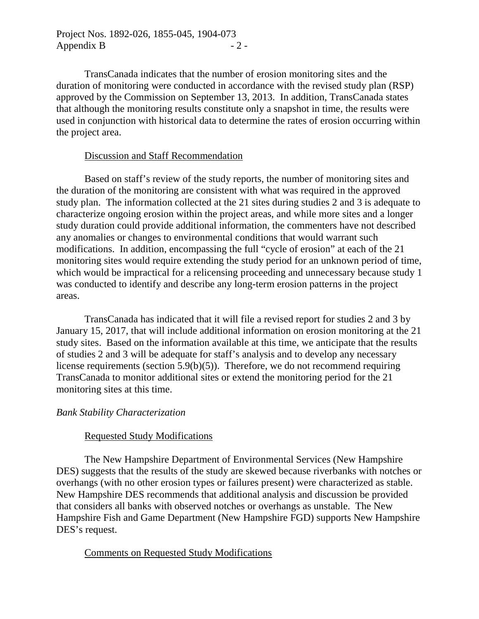Project Nos. 1892-026, 1855-045, 1904-073 Appendix B  $-2$  -

TransCanada indicates that the number of erosion monitoring sites and the duration of monitoring were conducted in accordance with the revised study plan (RSP) approved by the Commission on September 13, 2013. In addition, TransCanada states that although the monitoring results constitute only a snapshot in time, the results were used in conjunction with historical data to determine the rates of erosion occurring within the project area.

#### Discussion and Staff Recommendation

Based on staff's review of the study reports, the number of monitoring sites and the duration of the monitoring are consistent with what was required in the approved study plan. The information collected at the 21 sites during studies 2 and 3 is adequate to characterize ongoing erosion within the project areas, and while more sites and a longer study duration could provide additional information, the commenters have not described any anomalies or changes to environmental conditions that would warrant such modifications. In addition, encompassing the full "cycle of erosion" at each of the 21 monitoring sites would require extending the study period for an unknown period of time, which would be impractical for a relicensing proceeding and unnecessary because study 1 was conducted to identify and describe any long-term erosion patterns in the project areas.

TransCanada has indicated that it will file a revised report for studies 2 and 3 by January 15, 2017, that will include additional information on erosion monitoring at the 21 study sites. Based on the information available at this time, we anticipate that the results of studies 2 and 3 will be adequate for staff's analysis and to develop any necessary license requirements (section 5.9(b)(5)). Therefore, we do not recommend requiring TransCanada to monitor additional sites or extend the monitoring period for the 21 monitoring sites at this time.

#### *Bank Stability Characterization*

#### Requested Study Modifications

The New Hampshire Department of Environmental Services (New Hampshire DES) suggests that the results of the study are skewed because riverbanks with notches or overhangs (with no other erosion types or failures present) were characterized as stable. New Hampshire DES recommends that additional analysis and discussion be provided that considers all banks with observed notches or overhangs as unstable. The New Hampshire Fish and Game Department (New Hampshire FGD) supports New Hampshire DES's request.

#### Comments on Requested Study Modifications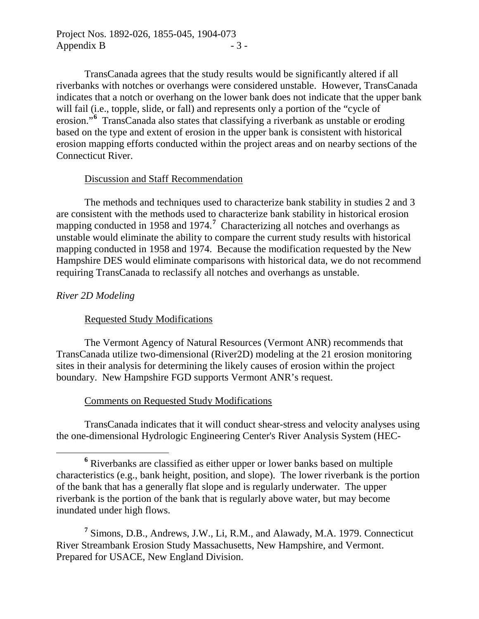TransCanada agrees that the study results would be significantly altered if all riverbanks with notches or overhangs were considered unstable. However, TransCanada indicates that a notch or overhang on the lower bank does not indicate that the upper bank will fail (i.e., topple, slide, or fall) and represents only a portion of the "cycle of erosion."<sup>[6](#page-7-0)</sup> TransCanada also states that classifying a riverbank as unstable or eroding based on the type and extent of erosion in the upper bank is consistent with historical erosion mapping efforts conducted within the project areas and on nearby sections of the Connecticut River.

## Discussion and Staff Recommendation

The methods and techniques used to characterize bank stability in studies 2 and 3 are consistent with the methods used to characterize bank stability in historical erosion mapping conducted in 1958 and 19[7](#page-7-1)4.<sup>7</sup> Characterizing all notches and overhangs as unstable would eliminate the ability to compare the current study results with historical mapping conducted in 1958 and 1974. Because the modification requested by the New Hampshire DES would eliminate comparisons with historical data, we do not recommend requiring TransCanada to reclassify all notches and overhangs as unstable.

## *River 2D Modeling*

## Requested Study Modifications

The Vermont Agency of Natural Resources (Vermont ANR) recommends that TransCanada utilize two-dimensional (River2D) modeling at the 21 erosion monitoring sites in their analysis for determining the likely causes of erosion within the project boundary. New Hampshire FGD supports Vermont ANR's request.

## Comments on Requested Study Modifications

TransCanada indicates that it will conduct shear-stress and velocity analyses using the one-dimensional Hydrologic Engineering Center's River Analysis System (HEC-

<span id="page-7-0"></span>**<sup>6</sup>** Riverbanks are classified as either upper or lower banks based on multiple characteristics (e.g., bank height, position, and slope). The lower riverbank is the portion of the bank that has a generally flat slope and is regularly underwater. The upper riverbank is the portion of the bank that is regularly above water, but may become inundated under high flows.  $\overline{a}$ 

<span id="page-7-1"></span>**<sup>7</sup>** Simons, D.B., Andrews, J.W., Li, R.M., and Alawady, M.A. 1979. Connecticut River Streambank Erosion Study Massachusetts, New Hampshire, and Vermont. Prepared for USACE, New England Division.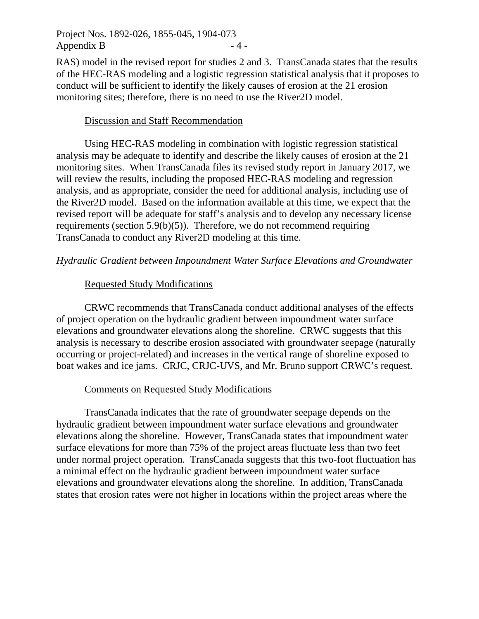Project Nos. 1892-026, 1855-045, 1904-073 Appendix B  $-4$  -

RAS) model in the revised report for studies 2 and 3. TransCanada states that the results of the HEC-RAS modeling and a logistic regression statistical analysis that it proposes to conduct will be sufficient to identify the likely causes of erosion at the 21 erosion monitoring sites; therefore, there is no need to use the River2D model.

#### Discussion and Staff Recommendation

Using HEC-RAS modeling in combination with logistic regression statistical analysis may be adequate to identify and describe the likely causes of erosion at the 21 monitoring sites. When TransCanada files its revised study report in January 2017, we will review the results, including the proposed HEC-RAS modeling and regression analysis, and as appropriate, consider the need for additional analysis, including use of the River2D model. Based on the information available at this time, we expect that the revised report will be adequate for staff's analysis and to develop any necessary license requirements (section  $5.9(b)(5)$ ). Therefore, we do not recommend requiring TransCanada to conduct any River2D modeling at this time.

#### *Hydraulic Gradient between Impoundment Water Surface Elevations and Groundwater*

#### Requested Study Modifications

CRWC recommends that TransCanada conduct additional analyses of the effects of project operation on the hydraulic gradient between impoundment water surface elevations and groundwater elevations along the shoreline. CRWC suggests that this analysis is necessary to describe erosion associated with groundwater seepage (naturally occurring or project-related) and increases in the vertical range of shoreline exposed to boat wakes and ice jams. CRJC, CRJC-UVS, and Mr. Bruno support CRWC's request.

#### Comments on Requested Study Modifications

TransCanada indicates that the rate of groundwater seepage depends on the hydraulic gradient between impoundment water surface elevations and groundwater elevations along the shoreline. However, TransCanada states that impoundment water surface elevations for more than 75% of the project areas fluctuate less than two feet under normal project operation. TransCanada suggests that this two-foot fluctuation has a minimal effect on the hydraulic gradient between impoundment water surface elevations and groundwater elevations along the shoreline. In addition, TransCanada states that erosion rates were not higher in locations within the project areas where the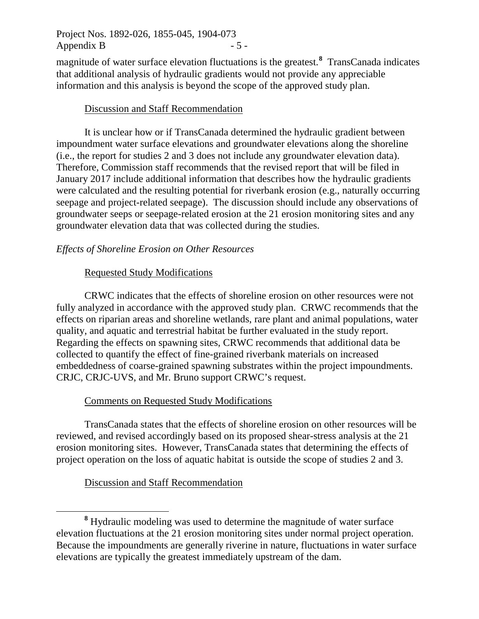Project Nos. 1892-026, 1855-045, 1904-073 Appendix B  $-5$  -

magnitude of water surface elevation fluctuations is the greatest.**[8](#page-9-0)** TransCanada indicates that additional analysis of hydraulic gradients would not provide any appreciable information and this analysis is beyond the scope of the approved study plan.

### Discussion and Staff Recommendation

It is unclear how or if TransCanada determined the hydraulic gradient between impoundment water surface elevations and groundwater elevations along the shoreline (i.e., the report for studies 2 and 3 does not include any groundwater elevation data). Therefore, Commission staff recommends that the revised report that will be filed in January 2017 include additional information that describes how the hydraulic gradients were calculated and the resulting potential for riverbank erosion (e.g., naturally occurring seepage and project-related seepage). The discussion should include any observations of groundwater seeps or seepage-related erosion at the 21 erosion monitoring sites and any groundwater elevation data that was collected during the studies.

## *Effects of Shoreline Erosion on Other Resources*

## Requested Study Modifications

CRWC indicates that the effects of shoreline erosion on other resources were not fully analyzed in accordance with the approved study plan. CRWC recommends that the effects on riparian areas and shoreline wetlands, rare plant and animal populations, water quality, and aquatic and terrestrial habitat be further evaluated in the study report. Regarding the effects on spawning sites, CRWC recommends that additional data be collected to quantify the effect of fine-grained riverbank materials on increased embeddedness of coarse-grained spawning substrates within the project impoundments. CRJC, CRJC-UVS, and Mr. Bruno support CRWC's request.

# Comments on Requested Study Modifications

TransCanada states that the effects of shoreline erosion on other resources will be reviewed, and revised accordingly based on its proposed shear-stress analysis at the 21 erosion monitoring sites. However, TransCanada states that determining the effects of project operation on the loss of aquatic habitat is outside the scope of studies 2 and 3.

# Discussion and Staff Recommendation

 $\overline{a}$ 

<span id="page-9-0"></span>**<sup>8</sup>** Hydraulic modeling was used to determine the magnitude of water surface elevation fluctuations at the 21 erosion monitoring sites under normal project operation. Because the impoundments are generally riverine in nature, fluctuations in water surface elevations are typically the greatest immediately upstream of the dam.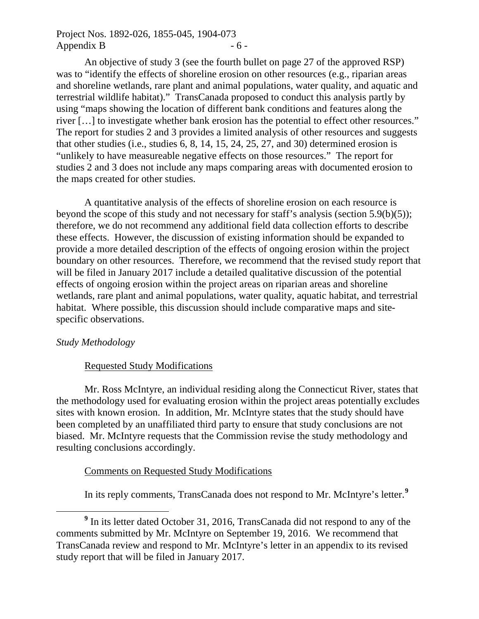## Project Nos. 1892-026, 1855-045, 1904-073 Appendix B  $-6$  -

An objective of study 3 (see the fourth bullet on page 27 of the approved RSP) was to "identify the effects of shoreline erosion on other resources (e.g., riparian areas and shoreline wetlands, rare plant and animal populations, water quality, and aquatic and terrestrial wildlife habitat)." TransCanada proposed to conduct this analysis partly by using "maps showing the location of different bank conditions and features along the river […] to investigate whether bank erosion has the potential to effect other resources." The report for studies 2 and 3 provides a limited analysis of other resources and suggests that other studies (i.e., studies 6, 8, 14, 15, 24, 25, 27, and 30) determined erosion is "unlikely to have measureable negative effects on those resources." The report for studies 2 and 3 does not include any maps comparing areas with documented erosion to the maps created for other studies.

A quantitative analysis of the effects of shoreline erosion on each resource is beyond the scope of this study and not necessary for staff's analysis (section 5.9(b)(5)); therefore, we do not recommend any additional field data collection efforts to describe these effects. However, the discussion of existing information should be expanded to provide a more detailed description of the effects of ongoing erosion within the project boundary on other resources. Therefore, we recommend that the revised study report that will be filed in January 2017 include a detailed qualitative discussion of the potential effects of ongoing erosion within the project areas on riparian areas and shoreline wetlands, rare plant and animal populations, water quality, aquatic habitat, and terrestrial habitat. Where possible, this discussion should include comparative maps and sitespecific observations.

#### *Study Methodology*

 $\overline{a}$ 

#### Requested Study Modifications

Mr. Ross McIntyre, an individual residing along the Connecticut River, states that the methodology used for evaluating erosion within the project areas potentially excludes sites with known erosion. In addition, Mr. McIntyre states that the study should have been completed by an unaffiliated third party to ensure that study conclusions are not biased. Mr. McIntyre requests that the Commission revise the study methodology and resulting conclusions accordingly.

#### Comments on Requested Study Modifications

In its reply comments, TransCanada does not respond to Mr. McIntyre's letter.**[9](#page-10-0)**

<span id="page-10-0"></span>**<sup>9</sup>** In its letter dated October 31, 2016, TransCanada did not respond to any of the comments submitted by Mr. McIntyre on September 19, 2016. We recommend that TransCanada review and respond to Mr. McIntyre's letter in an appendix to its revised study report that will be filed in January 2017.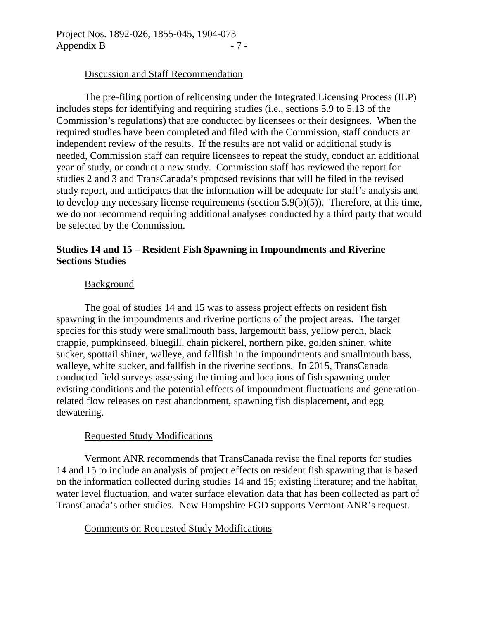### Discussion and Staff Recommendation

The pre-filing portion of relicensing under the Integrated Licensing Process (ILP) includes steps for identifying and requiring studies (i.e., sections 5.9 to 5.13 of the Commission's regulations) that are conducted by licensees or their designees. When the required studies have been completed and filed with the Commission, staff conducts an independent review of the results. If the results are not valid or additional study is needed, Commission staff can require licensees to repeat the study, conduct an additional year of study, or conduct a new study. Commission staff has reviewed the report for studies 2 and 3 and TransCanada's proposed revisions that will be filed in the revised study report, and anticipates that the information will be adequate for staff's analysis and to develop any necessary license requirements (section 5.9(b)(5)). Therefore, at this time, we do not recommend requiring additional analyses conducted by a third party that would be selected by the Commission.

## **Studies 14 and 15 – Resident Fish Spawning in Impoundments and Riverine Sections Studies**

### Background

The goal of studies 14 and 15 was to assess project effects on resident fish spawning in the impoundments and riverine portions of the project areas. The target species for this study were smallmouth bass, largemouth bass, yellow perch, black crappie, pumpkinseed, bluegill, chain pickerel, northern pike, golden shiner, white sucker, spottail shiner, walleye, and fallfish in the impoundments and smallmouth bass, walleye, white sucker, and fallfish in the riverine sections. In 2015, TransCanada conducted field surveys assessing the timing and locations of fish spawning under existing conditions and the potential effects of impoundment fluctuations and generationrelated flow releases on nest abandonment, spawning fish displacement, and egg dewatering.

## Requested Study Modifications

Vermont ANR recommends that TransCanada revise the final reports for studies 14 and 15 to include an analysis of project effects on resident fish spawning that is based on the information collected during studies 14 and 15; existing literature; and the habitat, water level fluctuation, and water surface elevation data that has been collected as part of TransCanada's other studies. New Hampshire FGD supports Vermont ANR's request.

## Comments on Requested Study Modifications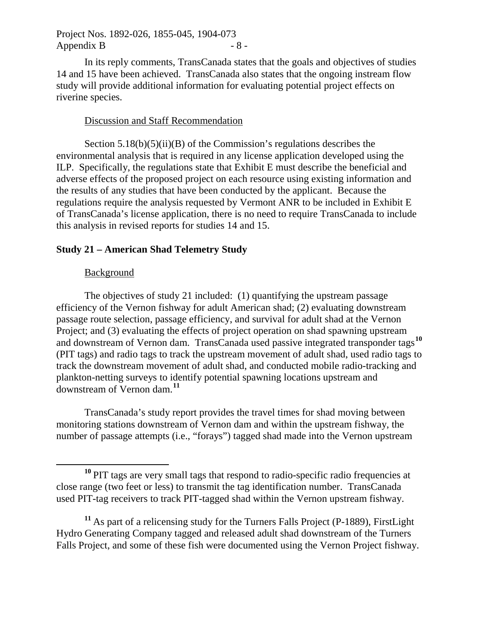Project Nos. 1892-026, 1855-045, 1904-073 Appendix B  $-8$  -

In its reply comments, TransCanada states that the goals and objectives of studies 14 and 15 have been achieved. TransCanada also states that the ongoing instream flow study will provide additional information for evaluating potential project effects on riverine species.

#### Discussion and Staff Recommendation

Section  $5.18(b)(5)(ii)(B)$  of the Commission's regulations describes the environmental analysis that is required in any license application developed using the ILP. Specifically, the regulations state that Exhibit E must describe the beneficial and adverse effects of the proposed project on each resource using existing information and the results of any studies that have been conducted by the applicant. Because the regulations require the analysis requested by Vermont ANR to be included in Exhibit E of TransCanada's license application, there is no need to require TransCanada to include this analysis in revised reports for studies 14 and 15.

#### **Study 21 – American Shad Telemetry Study**

#### **Background**

 $\overline{a}$ 

The objectives of study 21 included: (1) quantifying the upstream passage efficiency of the Vernon fishway for adult American shad; (2) evaluating downstream passage route selection, passage efficiency, and survival for adult shad at the Vernon Project; and (3) evaluating the effects of project operation on shad spawning upstream and downstream of Vernon dam. TransCanada used passive integrated transponder tags**[10](#page-12-0)** (PIT tags) and radio tags to track the upstream movement of adult shad, used radio tags to track the downstream movement of adult shad, and conducted mobile radio-tracking and plankton-netting surveys to identify potential spawning locations upstream and downstream of Vernon dam.**[11](#page-12-1)**

TransCanada's study report provides the travel times for shad moving between monitoring stations downstream of Vernon dam and within the upstream fishway, the number of passage attempts (i.e., "forays") tagged shad made into the Vernon upstream

<span id="page-12-0"></span>**<sup>10</sup>** PIT tags are very small tags that respond to radio-specific radio frequencies at close range (two feet or less) to transmit the tag identification number. TransCanada used PIT-tag receivers to track PIT-tagged shad within the Vernon upstream fishway.

<span id="page-12-1"></span>**<sup>11</sup>** As part of a relicensing study for the Turners Falls Project (P-1889), FirstLight Hydro Generating Company tagged and released adult shad downstream of the Turners Falls Project, and some of these fish were documented using the Vernon Project fishway.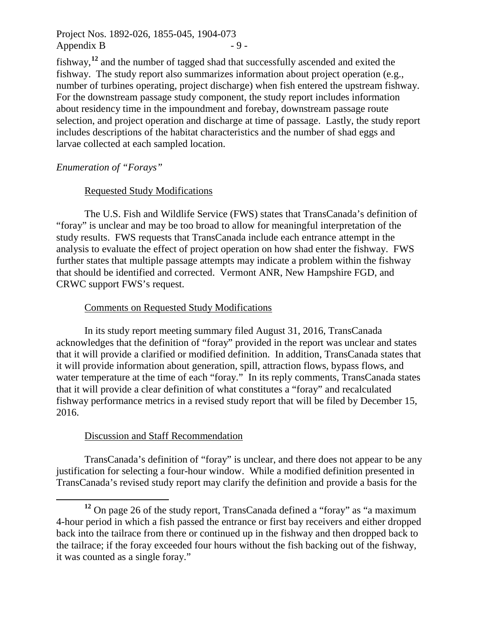Project Nos. 1892-026, 1855-045, 1904-073 Appendix B  $-9$  -

fishway,**[12](#page-13-0)** and the number of tagged shad that successfully ascended and exited the fishway. The study report also summarizes information about project operation (e.g., number of turbines operating, project discharge) when fish entered the upstream fishway. For the downstream passage study component, the study report includes information about residency time in the impoundment and forebay, downstream passage route selection, and project operation and discharge at time of passage. Lastly, the study report includes descriptions of the habitat characteristics and the number of shad eggs and larvae collected at each sampled location.

## *Enumeration of "Forays"*

 $\overline{a}$ 

## Requested Study Modifications

The U.S. Fish and Wildlife Service (FWS) states that TransCanada's definition of "foray" is unclear and may be too broad to allow for meaningful interpretation of the study results. FWS requests that TransCanada include each entrance attempt in the analysis to evaluate the effect of project operation on how shad enter the fishway. FWS further states that multiple passage attempts may indicate a problem within the fishway that should be identified and corrected. Vermont ANR, New Hampshire FGD, and CRWC support FWS's request.

### Comments on Requested Study Modifications

In its study report meeting summary filed August 31, 2016, TransCanada acknowledges that the definition of "foray" provided in the report was unclear and states that it will provide a clarified or modified definition. In addition, TransCanada states that it will provide information about generation, spill, attraction flows, bypass flows, and water temperature at the time of each "foray." In its reply comments, TransCanada states that it will provide a clear definition of what constitutes a "foray" and recalculated fishway performance metrics in a revised study report that will be filed by December 15, 2016.

## Discussion and Staff Recommendation

TransCanada's definition of "foray" is unclear, and there does not appear to be any justification for selecting a four-hour window. While a modified definition presented in TransCanada's revised study report may clarify the definition and provide a basis for the

<span id="page-13-0"></span>**<sup>12</sup>** On page 26 of the study report, TransCanada defined a "foray" as "a maximum 4-hour period in which a fish passed the entrance or first bay receivers and either dropped back into the tailrace from there or continued up in the fishway and then dropped back to the tailrace; if the foray exceeded four hours without the fish backing out of the fishway, it was counted as a single foray."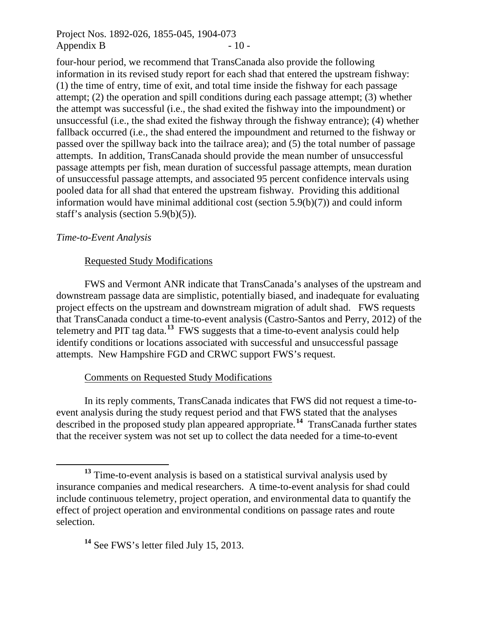Project Nos. 1892-026, 1855-045, 1904-073 Appendix B  $-10$  -

four-hour period, we recommend that TransCanada also provide the following information in its revised study report for each shad that entered the upstream fishway: (1) the time of entry, time of exit, and total time inside the fishway for each passage attempt; (2) the operation and spill conditions during each passage attempt; (3) whether the attempt was successful (i.e., the shad exited the fishway into the impoundment) or unsuccessful (i.e., the shad exited the fishway through the fishway entrance); (4) whether fallback occurred (i.e., the shad entered the impoundment and returned to the fishway or passed over the spillway back into the tailrace area); and (5) the total number of passage attempts. In addition, TransCanada should provide the mean number of unsuccessful passage attempts per fish, mean duration of successful passage attempts, mean duration of unsuccessful passage attempts, and associated 95 percent confidence intervals using pooled data for all shad that entered the upstream fishway. Providing this additional information would have minimal additional cost (section 5.9(b)(7)) and could inform staff's analysis (section 5.9(b)(5)).

#### *Time-to-Event Analysis*

 $\overline{a}$ 

#### Requested Study Modifications

FWS and Vermont ANR indicate that TransCanada's analyses of the upstream and downstream passage data are simplistic, potentially biased, and inadequate for evaluating project effects on the upstream and downstream migration of adult shad. FWS requests that TransCanada conduct a time-to-event analysis (Castro-Santos and Perry, 2012) of the telemetry and PIT tag data.**[13](#page-14-0)** FWS suggests that a time-to-event analysis could help identify conditions or locations associated with successful and unsuccessful passage attempts. New Hampshire FGD and CRWC support FWS's request.

#### Comments on Requested Study Modifications

In its reply comments, TransCanada indicates that FWS did not request a time-toevent analysis during the study request period and that FWS stated that the analyses described in the proposed study plan appeared appropriate.**[14](#page-14-1)** TransCanada further states that the receiver system was not set up to collect the data needed for a time-to-event

<span id="page-14-0"></span>**<sup>13</sup>** Time-to-event analysis is based on a statistical survival analysis used by insurance companies and medical researchers. A time-to-event analysis for shad could include continuous telemetry, project operation, and environmental data to quantify the effect of project operation and environmental conditions on passage rates and route selection.

<span id="page-14-1"></span>**<sup>14</sup>** See FWS's letter filed July 15, 2013.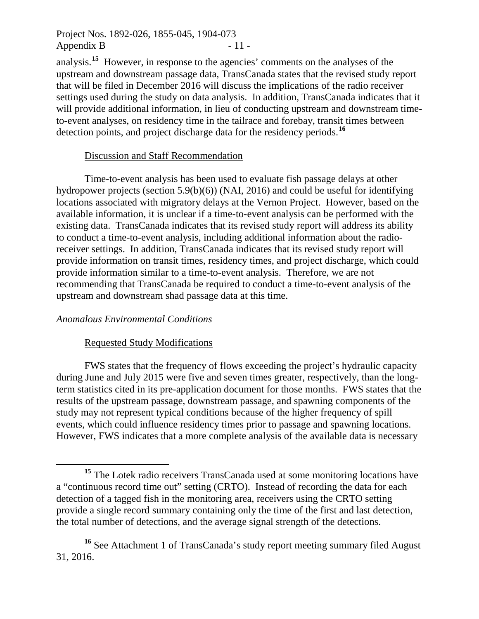Project Nos. 1892-026, 1855-045, 1904-073 Appendix B  $-11$  -

analysis.**[15](#page-15-0)** However, in response to the agencies' comments on the analyses of the upstream and downstream passage data, TransCanada states that the revised study report that will be filed in December 2016 will discuss the implications of the radio receiver settings used during the study on data analysis. In addition, TransCanada indicates that it will provide additional information, in lieu of conducting upstream and downstream timeto-event analyses, on residency time in the tailrace and forebay, transit times between detection points, and project discharge data for the residency periods.**[16](#page-15-1)**

#### Discussion and Staff Recommendation

Time-to-event analysis has been used to evaluate fish passage delays at other hydropower projects (section 5.9(b)(6)) (NAI, 2016) and could be useful for identifying locations associated with migratory delays at the Vernon Project. However, based on the available information, it is unclear if a time-to-event analysis can be performed with the existing data. TransCanada indicates that its revised study report will address its ability to conduct a time-to-event analysis, including additional information about the radioreceiver settings. In addition, TransCanada indicates that its revised study report will provide information on transit times, residency times, and project discharge, which could provide information similar to a time-to-event analysis. Therefore, we are not recommending that TransCanada be required to conduct a time-to-event analysis of the upstream and downstream shad passage data at this time.

#### *Anomalous Environmental Conditions*

 $\overline{a}$ 

#### Requested Study Modifications

FWS states that the frequency of flows exceeding the project's hydraulic capacity during June and July 2015 were five and seven times greater, respectively, than the longterm statistics cited in its pre-application document for those months. FWS states that the results of the upstream passage, downstream passage, and spawning components of the study may not represent typical conditions because of the higher frequency of spill events, which could influence residency times prior to passage and spawning locations. However, FWS indicates that a more complete analysis of the available data is necessary

<span id="page-15-0"></span>**<sup>15</sup>** The Lotek radio receivers TransCanada used at some monitoring locations have a "continuous record time out" setting (CRTO). Instead of recording the data for each detection of a tagged fish in the monitoring area, receivers using the CRTO setting provide a single record summary containing only the time of the first and last detection, the total number of detections, and the average signal strength of the detections.

<span id="page-15-1"></span><sup>&</sup>lt;sup>16</sup> See Attachment 1 of TransCanada's study report meeting summary filed August 31, 2016.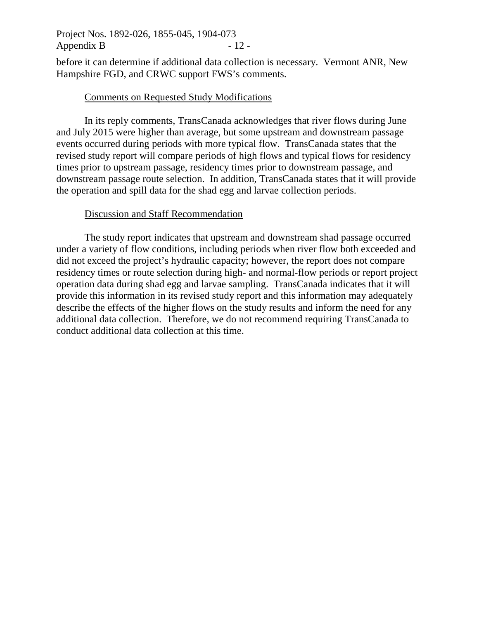Project Nos. 1892-026, 1855-045, 1904-073 Appendix B  $-12$  -

before it can determine if additional data collection is necessary. Vermont ANR, New Hampshire FGD, and CRWC support FWS's comments.

#### Comments on Requested Study Modifications

In its reply comments, TransCanada acknowledges that river flows during June and July 2015 were higher than average, but some upstream and downstream passage events occurred during periods with more typical flow. TransCanada states that the revised study report will compare periods of high flows and typical flows for residency times prior to upstream passage, residency times prior to downstream passage, and downstream passage route selection. In addition, TransCanada states that it will provide the operation and spill data for the shad egg and larvae collection periods.

### Discussion and Staff Recommendation

The study report indicates that upstream and downstream shad passage occurred under a variety of flow conditions, including periods when river flow both exceeded and did not exceed the project's hydraulic capacity; however, the report does not compare residency times or route selection during high- and normal-flow periods or report project operation data during shad egg and larvae sampling. TransCanada indicates that it will provide this information in its revised study report and this information may adequately describe the effects of the higher flows on the study results and inform the need for any additional data collection. Therefore, we do not recommend requiring TransCanada to conduct additional data collection at this time.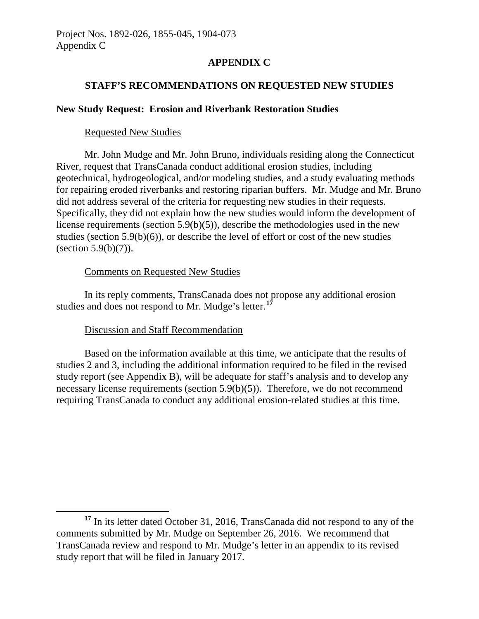## **APPENDIX C**

### **STAFF'S RECOMMENDATIONS ON REQUESTED NEW STUDIES**

### **New Study Request: Erosion and Riverbank Restoration Studies**

#### Requested New Studies

Mr. John Mudge and Mr. John Bruno, individuals residing along the Connecticut River, request that TransCanada conduct additional erosion studies, including geotechnical, hydrogeological, and/or modeling studies, and a study evaluating methods for repairing eroded riverbanks and restoring riparian buffers. Mr. Mudge and Mr. Bruno did not address several of the criteria for requesting new studies in their requests. Specifically, they did not explain how the new studies would inform the development of license requirements (section 5.9(b)(5)), describe the methodologies used in the new studies (section 5.9(b)(6)), or describe the level of effort or cost of the new studies (section  $5.9(b)(7)$ ).

### Comments on Requested New Studies

In its reply comments, TransCanada does not propose any additional erosion studies and does not respond to Mr. Mudge's letter.**[17](#page-17-0)**

## Discussion and Staff Recommendation

 $\overline{a}$ 

Based on the information available at this time, we anticipate that the results of studies 2 and 3, including the additional information required to be filed in the revised study report (see Appendix B), will be adequate for staff's analysis and to develop any necessary license requirements (section 5.9(b)(5)). Therefore, we do not recommend requiring TransCanada to conduct any additional erosion-related studies at this time.

<span id="page-17-0"></span>**<sup>17</sup>** In its letter dated October 31, 2016, TransCanada did not respond to any of the comments submitted by Mr. Mudge on September 26, 2016. We recommend that TransCanada review and respond to Mr. Mudge's letter in an appendix to its revised study report that will be filed in January 2017.